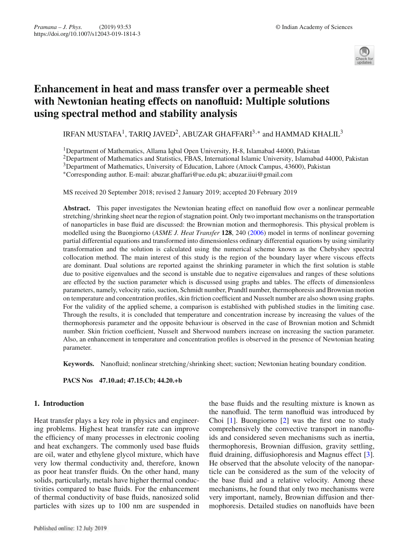

# **Enhancement in heat and mass transfer over a permeable sheet with Newtonian heating effects on nanofluid: Multiple solutions using spectral method and stability analysis**

# IRFAN MUSTAFA<sup>1</sup>, TARIQ JAVED<sup>2</sup>, ABUZAR GHAFFARI<sup>3,\*</sup> and HAMMAD KHALIL<sup>3</sup>

1Department of Mathematics, Allama Iqbal Open University, H-8, Islamabad 44000, Pakistan

<sup>2</sup>Department of Mathematics and Statistics, FBAS, International Islamic University, Islamabad 44000, Pakistan

3Department of Mathematics, University of Education, Lahore (Attock Campus, 43600), Pakistan

∗Corresponding author. E-mail: abuzar.ghaffari@ue.edu.pk; abuzar.iiui@gmail.com

MS received 20 September 2018; revised 2 January 2019; accepted 20 February 2019

**Abstract.** This paper investigates the Newtonian heating effect on nanofluid flow over a nonlinear permeable stretching/shrinking sheet near the region of stagnation point. Only two important mechanisms on the transportation of nanoparticles in base fluid are discussed: the Brownian motion and thermophoresis. This physical problem is modelled using the Buongiorno (*ASME J. Heat Transfer* **128**, 240 (2006) model in terms of nonlinear governing partial differential equations and transformed into dimensionless ordinary differential equations by using similarity transformation and the solution is calculated using the numerical scheme known as the Chebyshev spectral collocation method. The main interest of this study is the region of the boundary layer where viscous effects are dominant. Dual solutions are reported against the shrinking parameter in which the first solution is stable due to positive eigenvalues and the second is unstable due to negative eigenvalues and ranges of these solutions are effected by the suction parameter which is discussed using graphs and tables. The effects of dimensionless parameters, namely, velocity ratio, suction, Schmidt number, Prandtl number, thermophoresis and Brownian motion on temperature and concentration profiles, skin friction coefficient and Nusselt number are also shown using graphs. For the validity of the applied scheme, a comparison is established with published studies in the limiting case. Through the results, it is concluded that temperature and concentration increase by increasing the values of the thermophoresis parameter and the opposite behaviour is observed in the case of Brownian motion and Schmidt number. Skin friction coefficient, Nusselt and Sherwood numbers increase on increasing the suction parameter. Also, an enhancement in temperature and concentration profiles is observed in the presence of Newtonian heating parameter.

**Keywords.** Nanofluid; nonlinear stretching/shrinking sheet; suction; Newtonian heating boundary condition.

**PACS Nos 47.10.ad; 47.15.Cb; 44.20.+b**

### **1. Introduction**

Heat transfer plays a key role in physics and engineering problems. Highest heat transfer rate can improve the efficiency of many processes in electronic cooling and heat exchangers. The commonly used base fluids are oil, water and ethylene glycol mixture, which have very low thermal conductivity and, therefore, known as poor heat transfer fluids. On the other hand, many solids, particularly, metals have higher thermal conductivities compared to base fluids. For the enhancement of thermal conductivity of base fluids, nanosized solid particles with sizes up to 100 nm are suspended in the base fluids and the resulting mixture is known as the nanofluid. The term nanofluid was introduced by Choi [1]. Buongiorno [2] was the first one to study comprehensively the convective transport in nanofluids and considered seven mechanisms such as inertia, thermophoresis, Brownian diffusion, gravity settling, fluid draining, diffusiophoresis and Magnus effect [3]. He observed that the absolute velocity of the nanoparticle can be considered as the sum of the velocity of the base fluid and a relative velocity. Among these mechanisms, he found that only two mechanisms were very important, namely, Brownian diffusion and thermophoresis. Detailed studies on nanofluids have been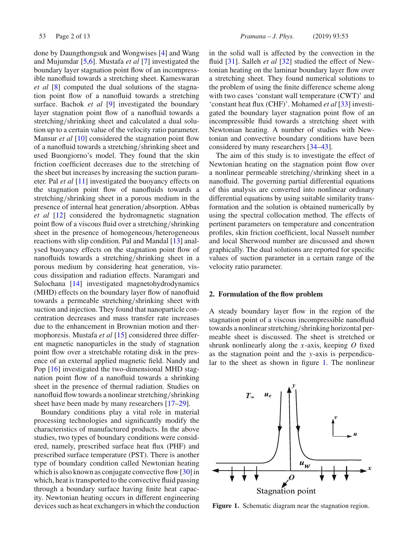done by Daungthongsuk and Wongwises [4] and Wang and Mujumdar [5,6]. Mustafa *et al* [7] investigated the boundary layer stagnation point flow of an incompressible nanofluid towards a stretching sheet. Kameswaran *et al* [8] computed the dual solutions of the stagnation point flow of a nanofluid towards a stretching surface. Bachok *et al* [9] investigated the boundary layer stagnation point flow of a nanofluid towards a stretching/shrinking sheet and calculated a dual solution up to a certain value of the velocity ratio parameter. Mansur *et al* [10] considered the stagnation point flow of a nanofluid towards a stretching/shrinking sheet and used Buongiorno's model. They found that the skin friction coefficient decreases due to the stretching of the sheet but increases by increasing the suction parameter. Pal *et al* [11] investigated the buoyancy effects on the stagnation point flow of nanofluids towards a stretching/shrinking sheet in a porous medium in the presence of internal heat generation/absorption. Abbas *et al* [12] considered the hydromagnetic stagnation point flow of a viscous fluid over a stretching/shrinking sheet in the presence of homogeneous/heterogeneous reactions with slip condition. Pal and Mandal [13] analysed buoyancy effects on the stagnation point flow of nanofluids towards a stretching/shrinking sheet in a porous medium by considering heat generation, viscous dissipation and radiation effects. Naramgari and Sulochana [14] investigated magnetohydrodynamics (MHD) effects on the boundary layer flow of nanofluid towards a permeable stretching/shrinking sheet with suction and injection. They found that nanoparticle concentration decreases and mass transfer rate increases due to the enhancement in Brownian motion and thermophoresis. Mustafa *et al* [15] considered three different magnetic nanoparticles in the study of stagnation point flow over a stretchable rotating disk in the presence of an external applied magnetic field. Nandy and Pop [16] investigated the two-dimensional MHD stagnation point flow of a nanofluid towards a shrinking sheet in the presence of thermal radiation. Studies on nanofluid flow towards a nonlinear stretching/shrinking sheet have been made by many researchers [17–29].

Boundary conditions play a vital role in material processing technologies and significantly modify the characteristics of manufactured products. In the above studies, two types of boundary conditions were considered, namely, prescribed surface heat flux (PHF) and prescribed surface temperature (PST). There is another type of boundary condition called Newtonian heating which is also known as conjugate convective flow [30] in which, heat is transported to the convective fluid passing through a boundary surface having finite heat capacity. Newtonian heating occurs in different engineering devices such as heat exchangers in which the conduction in the solid wall is affected by the convection in the fluid [31]. Salleh *et al* [32] studied the effect of Newtonian heating on the laminar boundary layer flow over a stretching sheet. They found numerical solutions to the problem of using the finite difference scheme along with two cases 'constant wall temperature (CWT)' and 'constant heat flux (CHF)'. Mohamed *et al* [33] investigated the boundary layer stagnation point flow of an incompressible fluid towards a stretching sheet with Newtonian heating. A number of studies with Newtonian and convective boundary conditions have been considered by many researchers [34–43].

The aim of this study is to investigate the effect of Newtonian heating on the stagnation point flow over a nonlinear permeable stretching/shrinking sheet in a nanofluid. The governing partial differential equations of this analysis are converted into nonlinear ordinary differential equations by using suitable similarity transformation and the solution is obtained numerically by using the spectral collocation method. The effects of pertinent parameters on temperature and concentration profiles, skin friction coefficient, local Nusselt number and local Sherwood number are discussed and shown graphically. The dual solutions are reported for specific values of suction parameter in a certain range of the velocity ratio parameter.

#### **2. Formulation of the flow problem**

A steady boundary layer flow in the region of the stagnation point of a viscous incompressible nanofluid towards a nonlinear stretching/shrinking horizontal permeable sheet is discussed. The sheet is stretched or shrunk nonlinearly along the *x*-axis, keeping *O* fixed as the stagnation point and the *y*-axis is perpendicular to the sheet as shown in figure 1. The nonlinear



Figure 1. Schematic diagram near the stagnation region.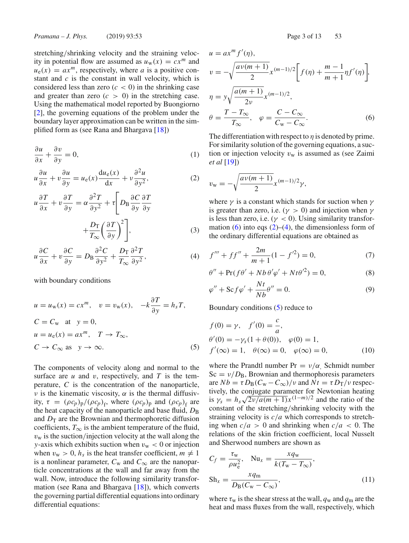stretching/shrinking velocity and the straining velocity in potential flow are assumed as  $u_w(x) = cx^m$  and  $u_e(x) = ax^m$ , respectively, where *a* is a positive constant and *c* is the constant in wall velocity, which is considered less than zero  $(c < 0)$  in the shrinking case and greater than zero  $(c > 0)$  in the stretching case. Using the mathematical model reported by Buongiorno [2], the governing equations of the problem under the boundary layer approximation can be written in the simplified form as (see Rana and Bhargava [18])

$$
\frac{\partial u}{\partial x} + \frac{\partial v}{\partial y} = 0,\tag{1}
$$

$$
u\frac{\partial u}{\partial x} + v\frac{\partial u}{\partial y} = u_e(x)\frac{du_e(x)}{dx} + v\frac{\partial^2 u}{\partial y^2},
$$
 (2)

$$
u\frac{\partial T}{\partial x} + v\frac{\partial T}{\partial y} = \alpha \frac{\partial^2 T}{\partial y^2} + \tau \left[ D_B \frac{\partial C}{\partial y} \frac{\partial T}{\partial y} + \frac{D_T}{T_{\infty}} \left( \frac{\partial T}{\partial y} \right)^2 \right],
$$
 (3)

$$
u\frac{\partial C}{\partial x} + v\frac{\partial C}{\partial y} = D_{\rm B}\frac{\partial^2 C}{\partial y^2} + \frac{D_{\rm T}}{T_{\infty}}\frac{\partial^2 T}{\partial y^2},\tag{4}
$$

with boundary conditions

$$
u = u_{w}(x) = cx^{m}, \quad v = v_{w}(x), \quad -k\frac{\partial T}{\partial y} = h_{s}T,
$$
  
\n
$$
C = C_{w} \quad \text{at} \quad y = 0,
$$
  
\n
$$
u = u_{e}(x) = ax^{m}, \quad T \to T_{\infty},
$$
  
\n
$$
C \to C_{\infty} \text{ as } y \to \infty.
$$
\n(5)

The components of velocity along and normal to the surface are  $u$  and  $v$ , respectively, and  $T$  is the temperature, *C* is the concentration of the nanoparticle, ν is the kinematic viscosity, α is the thermal diffusivity,  $\tau = (\rho c_p)_p / (\rho c_p)_f$ , where  $(\rho c_p)_p$  and  $(\rho c_p)_f$  are the heat capacity of the nanoparticle and base fluid,  $D_B$ and  $D_T$  are the Brownian and thermophoretic diffusion coefficients,  $T_{\infty}$  is the ambient temperature of the fluid,  $v_w$  is the suction/injection velocity at the wall along the *y*-axis which exhibits suction when  $v_w < 0$  or injection when  $v_w > 0$ ,  $h_s$  is the heat transfer coefficient,  $m \neq 1$ is a nonlinear parameter,  $C_w$  and  $C_\infty$  are the nanoparticle concentrations at the wall and far away from the wall. Now, introduce the following similarity transformation (see Rana and Bhargava [18]), which converts the governing partial differential equations into ordinary differential equations:

$$
u = ax^{m} f'(\eta),
$$
  
\n
$$
v = -\sqrt{\frac{av(m+1)}{2}} x^{(m-1)/2} \left[ f(\eta) + \frac{m-1}{m+1} \eta f'(\eta) \right],
$$
  
\n
$$
\eta = y \sqrt{\frac{a(m+1)}{2\nu}} x^{(m-1)/2},
$$
  
\n
$$
\theta = \frac{T - T_{\infty}}{T_{\infty}}, \quad \varphi = \frac{C - C_{\infty}}{C_{\infty} - C_{\infty}}.
$$
  
\n(6)

The differentiation with respect to  $\eta$  is denoted by prime. For similarity solution of the governing equations, a suction or injection velocity  $v_w$  is assumed as (see Zaimi *et al* [19])

$$
v_{\rm w}=-\sqrt{\frac{a\nu(m+1)}{2}}x^{(m-1)/2}\gamma,
$$

where  $\gamma$  is a constant which stands for suction when  $\gamma$ is greater than zero, i.e. ( $\gamma > 0$ ) and injection when  $\gamma$ is less than zero, i.e. ( $\gamma < 0$ ). Using similarity transformation (6) into eqs  $(2)$ – $(4)$ , the dimensionless form of the ordinary differential equations are obtained as

$$
f''' + ff'' + \frac{2m}{m+1}(1 - f'^2) = 0,\t(7)
$$

$$
\theta'' + \Pr(f\theta' + Nb\,\theta'\varphi' + Nt\theta'^2) = 0,\tag{8}
$$

$$
\varphi'' + \text{Sc} f \varphi' + \frac{Nt}{Nb} \theta'' = 0. \tag{9}
$$

Boundary conditions (5) reduce to

$$
f(0) = \gamma, \quad f'(0) = \frac{c}{a},
$$
  
\n
$$
\theta'(0) = -\gamma_s (1 + \theta(0)), \quad \varphi(0) = 1,
$$
  
\n
$$
f'(\infty) = 1, \quad \theta(\infty) = 0, \quad \varphi(\infty) = 0,
$$
 (10)

where the Prandtl number  $Pr = v/\alpha$ , Schmidt number  $Sc = v/D<sub>B</sub>$ , Brownian and thermophoresis parameters are  $Nb = \tau D_B(C_w - C_\infty)/v$  and  $Nt = \tau D_T/v$  respectively, the conjugate parameter for Newtonian heating is  $\gamma_s = h_s \sqrt{\frac{2v}{a(m+1)x^{(1-m)/2}}}$  and the ratio of the constant of the stretching/shrinking velocity with the straining velocity is *c*/*a* which corresponds to stretching when  $c/a > 0$  and shrinking when  $c/a < 0$ . The relations of the skin friction coefficient, local Nusselt and Sherwood numbers are shown as

$$
C_f = \frac{\tau_w}{\rho u_e^2}, \quad Nu_x = \frac{xq_w}{k(T_w - T_\infty)},
$$

$$
Sh_x = \frac{xq_m}{D_B(C_w - C_\infty)},
$$
(11)

where  $\tau_w$  is the shear stress at the wall,  $q_w$  and  $q_m$  are the heat and mass fluxes from the wall, respectively, which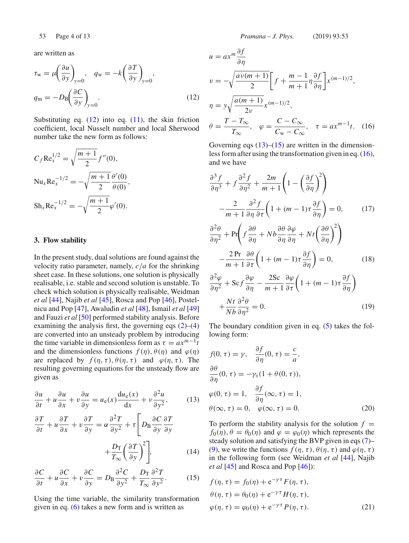are written as

$$
\tau_{\rm w} = \mu \left( \frac{\partial u}{\partial y} \right)_{y=0}, \quad q_{\rm w} = -k \left( \frac{\partial T}{\partial y} \right)_{y=0},
$$

$$
q_{\rm m} = -D_{\rm B} \left( \frac{\partial C}{\partial y} \right)_{y=0}.
$$
(12)

Substituting eq.  $(12)$  into eq.  $(11)$ , the skin friction coefficient, local Nusselt number and local Sherwood number take the new form as follows:

$$
C_f \text{Re}_x^{1/2} = \sqrt{\frac{m+1}{2}} f''(0),
$$
  
\n
$$
\text{Nu}_x \text{Re}_x^{-1/2} = -\sqrt{\frac{m+1}{2}} \frac{\theta'(0)}{\theta(0)},
$$
  
\n
$$
\text{Sh}_x \text{Re}_x^{-1/2} = -\sqrt{\frac{m+1}{2}} \varphi'(0).
$$

## **3. Flow stability**

In the present study, dual solutions are found against the velocity ratio parameter, namely, *c*/*a* for the shrinking sheet case. In these solutions, one solution is physically realisable, i.e. stable and second solution is unstable. To check which solution is physically realisable, Weidman *et al* [44], Najib *et al* [45], Rosca and Pop [46], Postelnicu and Pop [47], Awaludin *et al* [48], Ismail *et al* [49] and Fauzi *et al* [50] performed stability analysis. Before examining the analysis first, the governing eqs  $(2)$ – $(4)$ are converted into an unsteady problem by introducing the time variable in dimensionless form as  $\tau = ax^{m-1}t$ and the dimensionless functions  $f(\eta)$ ,  $\theta(\eta)$  and  $\varphi(\eta)$ are replaced by  $f(\eta, \tau), \theta(\eta, \tau)$  and  $\varphi(\eta, \tau)$ . The resulting governing equations for the unsteady flow are given as

$$
\frac{\partial u}{\partial t} + u \frac{\partial u}{\partial x} + v \frac{\partial u}{\partial y} = u_{e}(x) \frac{du_{e}(x)}{dx} + v \frac{\partial^{2} u}{\partial y^{2}},
$$
(13)

$$
\frac{\partial T}{\partial t} + u \frac{\partial T}{\partial x} + v \frac{\partial T}{\partial y} = \alpha \frac{\partial^2 T}{\partial y^2} + \tau \left[ D_B \frac{\partial C}{\partial y} \frac{\partial T}{\partial y} + \frac{D_T}{T_{\infty}} \left( \frac{\partial T}{\partial y} \right)^2 \right],
$$
(14)

$$
\frac{\partial C}{\partial t} + u \frac{\partial C}{\partial x} + v \frac{\partial C}{\partial y} = D_{\text{B}} \frac{\partial^2 C}{\partial y^2} + \frac{D_{\text{T}}}{T_{\infty}} \frac{\partial^2 T}{\partial y^2}.
$$
 (15)

Using the time variable, the similarity transformation given in eq. (6) takes a new form and is written as

53 Page 4 of 13 *Pramana – J. Phys.* (2019) 93:53

$$
u = ax^{m} \frac{\partial f}{\partial \eta}
$$
  
\n
$$
v = -\sqrt{\frac{av(m+1)}{2}} \left[ f + \frac{m-1}{m+1} \eta \frac{\partial f}{\partial \eta} \right] x^{(m-1)/2},
$$
  
\n
$$
\eta = y \sqrt{\frac{a(m+1)}{2\nu}} x^{(m-1)/2},
$$
  
\n
$$
\theta = \frac{T - T_{\infty}}{T_{\infty}}, \quad \varphi = \frac{C - C_{\infty}}{C_{\infty} - C_{\infty}}, \quad \tau = ax^{m-1}t. \quad (16)
$$

Governing eqs  $(13)$ – $(15)$  are written in the dimensionless form after using the transformation given in eq. (16), and we have

$$
\frac{\partial^3 f}{\partial \eta^3} + f \frac{\partial^2 f}{\partial \eta^2} + \frac{2m}{m+1} \left( 1 - \left( \frac{\partial f}{\partial \eta} \right)^2 \right)
$$

$$
- \frac{2}{m+1} \frac{\partial^2 f}{\partial \eta \partial \tau} \left( 1 + (m-1) \tau \frac{\partial f}{\partial \eta} \right) = 0, \qquad (17)
$$

$$
\frac{\partial^2 \theta}{\partial \eta^2} + \Pr \left( f \frac{\partial \theta}{\partial \eta} + Nb \frac{\partial \theta}{\partial \eta} \frac{\partial \varphi}{\partial \eta} + Nt \left( \frac{\partial \theta}{\partial \eta} \right)^2 \right)
$$

$$
- \frac{2 \Pr}{m+1} \frac{\partial \theta}{\partial \tau} \left( 1 + (m-1) \tau \frac{\partial f}{\partial \eta} \right) = 0, \qquad (18)
$$

$$
\frac{\partial^2 \varphi}{\partial \eta^2} + \text{Sc} f \frac{\partial \varphi}{\partial \eta} - \frac{2\text{Sc}}{m+1} \frac{\partial \varphi}{\partial \tau} \left( 1 + (m-1)\tau \frac{\partial f}{\partial \eta} \right) + \frac{Nt}{Nb} \frac{\partial^2 \theta}{\partial \eta^2} = 0.
$$
 (19)

The boundary condition given in eq. (5) takes the following form:

$$
f(0, \tau) = \gamma, \quad \frac{\partial f}{\partial \eta}(0, \tau) = \frac{c}{a},
$$
  

$$
\frac{\partial \theta}{\partial \eta}(0, \tau) = -\gamma_s(1 + \theta(0, \tau)),
$$
  

$$
\varphi(0, \tau) = 1, \quad \frac{\partial f}{\partial \eta}(\infty, \tau) = 1,
$$
  

$$
\theta(\infty, \tau) = 0, \quad \varphi(\infty, \tau) = 0.
$$
 (20)

To perform the stability analysis for the solution  $f =$  $f_0(\eta)$ ,  $\theta = \theta_0(\eta)$  and  $\varphi = \varphi_0(\eta)$  which represents the steady solution and satisfying the BVP given in eqs (7)– (9), we write the functions  $f(\eta, \tau)$ ,  $\theta(\eta, \tau)$  and  $\varphi(\eta, \tau)$ in the following form (see Weidman *et al* [44], Najib *et al* [45] and Rosca and Pop [46]):

$$
f(\eta, \tau) = f_0(\eta) + e^{-\gamma \tau} F(\eta, \tau),
$$
  
\n
$$
\theta(\eta, \tau) = \theta_0(\eta) + e^{-\gamma \tau} H(\eta, \tau),
$$
  
\n
$$
\varphi(\eta, \tau) = \varphi_0(\eta) + e^{-\gamma \tau} P(\eta, \tau).
$$
\n(21)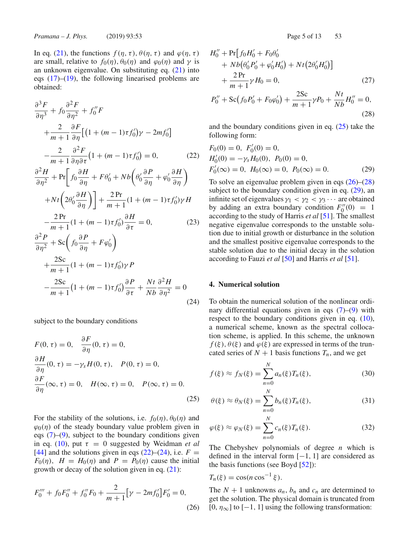In eq. (21), the functions  $f(\eta, \tau)$ ,  $\theta(\eta, \tau)$  and  $\varphi(\eta, \tau)$ are small, relative to  $f_0(\eta)$ ,  $\theta_0(\eta)$  and  $\varphi_0(\eta)$  and  $\gamma$  is an unknown eigenvalue. On substituting eq. (21) into eqs  $(17)$ – $(19)$ , the following linearised problems are obtained:

$$
\frac{\partial^3 F}{\partial \eta^3} + f_0 \frac{\partial^2 F}{\partial \eta^2} + f_0'' F
$$
  
+ 
$$
\frac{2}{m+1} \frac{\partial F}{\partial \eta} \Big[ \big( 1 + (m-1) \tau f_0' \big) \gamma - 2m f_0' \Big]
$$
  
- 
$$
\frac{2}{m+1} \frac{\partial^2 F}{\partial \eta \partial \tau} \big( 1 + (m-1) \tau f_0' \big) = 0,
$$
 (22)  

$$
2^2 H \Big[ \Gamma \Big] = 2H
$$

$$
\frac{\partial^2 H}{\partial \eta^2} + \Pr\bigg[ f_0 \frac{\partial H}{\partial \eta} + F \theta'_0 + Nb \bigg( \theta'_0 \frac{\partial P}{\partial \eta} + \varphi'_0 \frac{\partial H}{\partial \eta} \bigg) + Nt \bigg( 2\theta'_0 \frac{\partial H}{\partial \eta} \bigg) \bigg] + \frac{2 \Pr}{m+1} (1 + (m-1)\tau f'_0) \gamma H - \frac{2 \Pr}{m+1} (1 + (m-1)\tau f'_0) \frac{\partial H}{\partial \tau} = 0, \tag{23}
$$

$$
\frac{\partial^2 P}{\partial \eta^2} + \text{Sc} \bigg( f_0 \frac{\partial P}{\partial \eta} + F \varphi'_0 \bigg)
$$

$$
+ \frac{2 \text{Sc}}{m+1} (1 + (m-1)\tau f'_0) \gamma P
$$

$$
+\frac{1}{m+1}(1+(m-1)\tau f_0)\gamma P
$$
  

$$
-\frac{2Sc}{m+1}(1+(m-1)\tau f_0')\frac{\partial P}{\partial \tau} + \frac{Nt}{Nb}\frac{\partial^2 H}{\partial \eta^2} = 0
$$
 (24)

subject to the boundary conditions

$$
F(0, \tau) = 0, \quad \frac{\partial F}{\partial \eta}(0, \tau) = 0,
$$
  
\n
$$
\frac{\partial H}{\partial \eta}(0, \tau) = -\gamma_s H(0, \tau), \quad P(0, \tau) = 0,
$$
  
\n
$$
\frac{\partial F}{\partial \eta}(\infty, \tau) = 0, \quad H(\infty, \tau) = 0, \quad P(\infty, \tau) = 0.
$$
  
\n(25)

For the stability of the solutions, i.e.  $f_0(\eta)$ ,  $\theta_0(\eta)$  and  $\varphi_0(\eta)$  of the steady boundary value problem given in eqs  $(7)$ – $(9)$ , subject to the boundary conditions given in eq. (10), put  $\tau = 0$  suggested by Weidman *et al* [44] and the solutions given in eqs  $(22)$ – $(24)$ , i.e.  $F =$  $F_0(\eta)$ ,  $H = H_0(\eta)$  and  $P = P_0(\eta)$  cause the initial growth or decay of the solution given in eq.  $(21)$ :

$$
F_0''' + f_0 F_0'' + f_0'' F_0 + \frac{2}{m+1} \left[ \gamma - 2m f_0' \right] F_0' = 0,
$$
\n(26)

$$
H_0'' + \Pr[f_0 H_0' + F_0 \theta_0' + Nb(\theta_0' P_0' + \varphi_0' H_0') + Nt(2\theta_0' H_0')]
$$
  
+ 
$$
\frac{2 \Pr}{m+1} \gamma H_0 = 0,
$$
 (27)  

$$
P_0'' + \text{Sc}(f_0 P_0' + F_0 \varphi_0') + \frac{2 \text{Sc}}{m+1} \gamma P_0 + \frac{Nt}{Nb} H_0'' = 0,
$$

(28) and the boundary conditions given in eq.  $(25)$  take the

following form:  $F_0(0) = 0, F'_0(0) = 0,$ 

$$
H'_0(0) = -\gamma_s H_0(0), \ P_0(0) = 0,
$$
  

$$
F'_0(\infty) = 0, \ H_0(\infty) = 0, \ P_0(\infty) = 0.
$$
 (29)

To solve an eigenvalue problem given in eqs (26)–(28) subject to the boundary condition given in eq.  $(29)$ , an infinite set of eigenvalues  $\gamma_1 < \gamma_2 < \gamma_3 \cdots$  are obtained by adding an extra boundary condition  $F_0''(0) = 1$ according to the study of Harris *et al* [51]. The smallest negative eigenvalue corresponds to the unstable solution due to initial growth or disturbance in the solution and the smallest positive eigenvalue corresponds to the stable solution due to the initial decay in the solution according to Fauzi *et al* [50] and Harris *et al* [51].

# **4. Numerical solution**

To obtain the numerical solution of the nonlinear ordinary differential equations given in eqs  $(7)-(9)$  with respect to the boundary conditions given in eq. (10), a numerical scheme, known as the spectral collocation scheme, is applied. In this scheme, the unknown  $f(\xi), \theta(\xi)$  and  $\varphi(\xi)$  are expressed in terms of the truncated series of  $N + 1$  basis functions  $T_n$ , and we get

$$
f(\xi) \approx f_N(\xi) = \sum_{n=0}^{N} a_n(\xi) T_n(\xi),
$$
 (30)

$$
\theta(\xi) \approx \theta_N(\xi) = \sum_{n=0}^{N} b_n(\xi) T_n(\xi), \qquad (31)
$$

$$
\varphi(\xi) \approx \varphi_N(\xi) = \sum_{n=0}^N c_n(\xi) T_n(\xi). \tag{32}
$$

The Chebyshev polynomials of degree *n* which is defined in the interval form  $[-1, 1]$  are considered as the basis functions (see Boyd [52]):

$$
T_n(\xi) = \cos(n \cos^{-1} \xi).
$$

The  $N + 1$  unknowns  $a_n$ ,  $b_n$  and  $c_n$  are determined to get the solution. The physical domain is truncated from [0,  $\eta_{\infty}$ ] to [-1, 1] using the following transformation: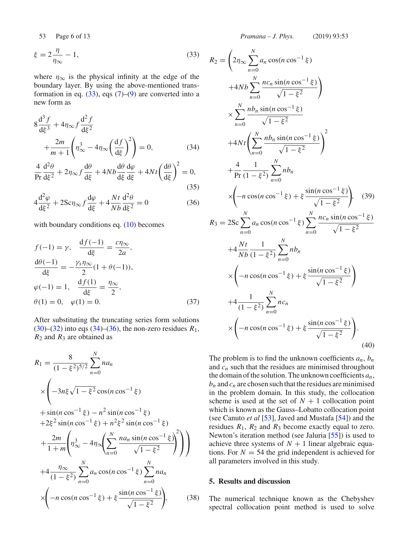$$
\xi = 2\frac{\eta}{\eta_{\infty}} - 1,\tag{33}
$$

where  $\eta_{\infty}$  is the physical infinity at the edge of the boundary layer. By using the above-mentioned transformation in eq.  $(33)$ , eqs  $(7)-(9)$  are converted into a new form as

$$
8\frac{d^3 f}{d\xi^3} + 4\eta_\infty f \frac{d^2 f}{d\xi^2} + \frac{2m}{m+1} \left(\eta_\infty^3 - 4\eta_\infty \left(\frac{df}{d\xi}\right)^2\right) = 0,
$$
 (34)

$$
\frac{4}{\text{Pr}} \frac{\text{d}^2 \theta}{\text{d}\xi^2} + 2\eta_{\infty} f \frac{\text{d}\theta}{\text{d}\xi} + 4Nb \frac{\text{d}\theta}{\text{d}\xi} \frac{\text{d}\varphi}{\text{d}\xi} + 4Nt \left(\frac{\text{d}\theta}{\text{d}\xi}\right)^2 = 0,\tag{35}
$$

$$
4\frac{\mathrm{d}^2\varphi}{\mathrm{d}\xi^2} + 2\mathrm{Sc}\eta_{\infty}f\frac{\mathrm{d}\varphi}{\mathrm{d}\xi} + 4\frac{Nt}{Nb}\frac{\mathrm{d}^2\theta}{\mathrm{d}\xi^2} = 0\tag{36}
$$

with boundary conditions eq. (10) becomes

$$
f(-1) = \gamma, \quad \frac{df(-1)}{d\xi} = \frac{c\eta_{\infty}}{2a}, \n\frac{d\theta(-1)}{d\xi} = -\frac{\gamma_s \eta_{\infty}}{2} (1 + \theta(-1)), \n\varphi(-1) = 1, \quad \frac{df(1)}{d\xi} = \frac{\eta_{\infty}}{2}, \n\theta(1) = 0, \quad \varphi(1) = 0.
$$
\n(37)

After substituting the truncating series form solutions (30)–(32) into eqs (34)–(36), the non-zero residues  $R_1$ , *R*<sup>2</sup> and *R*<sup>3</sup> are obtained as

$$
R_1 = \frac{8}{(1 - \xi^2)^{5/2}} \sum_{n=0}^{N} n a_n
$$
  
\n
$$
\times \left( -3n\xi\sqrt{1 - \xi^2} \cos(n \cos^{-1} \xi) + \sin(n \cos^{-1} \xi) - n^2 \sin(n \cos^{-1} \xi) + 2\xi^2 \sin(n \cos^{-1} \xi) + n^2\xi^2 \sin(n \cos^{-1} \xi) + \frac{2m}{1 + m} \left( \eta_{\infty}^3 - 4\eta_{\infty} \left( \sum_{n=0}^{N} \frac{n a_n \sin(n \cos^{-1} \xi)}{\sqrt{1 - \xi^2}} \right)^2 \right) \right)
$$
  
\n
$$
+ 4 \frac{\eta_{\infty}}{(1 - \xi^2)} \sum_{n=0}^{N} a_n \cos(n \cos^{-1} \xi) \sum_{n=0}^{N} n a_n
$$
  
\n
$$
\times \left( -n \cos(n \cos^{-1} \xi) + \xi \frac{\sin(n \cos^{-1} \xi)}{\sqrt{1 - \xi^2}} \right), \quad (38)
$$

53 Page 6 of 13 *Pramana – J. Phys.* (2019) 93:53

$$
R_{2} = \left(2\eta_{\infty} \sum_{n=0}^{N} a_{n} \cos(n \cos^{-1} \xi) +4Nb \sum_{n=0}^{N} \frac{nc_{n} \sin(n \cos^{-1} \xi)}{\sqrt{1-\xi^{2}}} \right)
$$
  
\n
$$
\times \sum_{n=0}^{N} \frac{nb_{n} \sin(n \cos^{-1} \xi)}{\sqrt{1-\xi^{2}}} +4Nt \left( \sum_{n=0}^{N} \frac{nb_{n} \sin(n \cos^{-1} \xi)}{\sqrt{1-\xi^{2}}} \right)^{2} +\frac{4}{\text{Pr}} \frac{1}{(1-\xi^{2})} \sum_{n=0}^{N} nb_{n}
$$
  
\n
$$
\times \left( -n \cos(n \cos^{-1} \xi) + \xi \frac{\sin(n \cos^{-1} \xi)}{\sqrt{1-\xi^{2}}} \right), \quad (39)
$$
  
\n
$$
R_{3} = 2Sc \sum_{n=0}^{N} a_{n} \cos(n \cos^{-1} \xi) \sum_{n=0}^{N} \frac{nc_{n} \sin(n \cos^{-1} \xi)}{\sqrt{1-\xi^{2}}} +4 \frac{Nt}{Nb} \frac{1}{(1-\xi^{2})} \sum_{n=0}^{N} nb_{n}
$$
  
\n
$$
\times \left( -n \cos(n \cos^{-1} \xi) + \xi \frac{\sin(n \cos^{-1} \xi)}{\sqrt{1-\xi^{2}}} \right)
$$
  
\n
$$
+4 \frac{1}{(1-\xi^{2})} \sum_{n=0}^{N} nc_{n}
$$
  
\n
$$
\times \left( -n \cos(n \cos^{-1} \xi) + \xi \frac{\sin(n \cos^{-1} \xi)}{\sqrt{1-\xi^{2}}} \right).
$$
  
\n(40)

The problem is to find the unknown coefficients  $a_n$ ,  $b_n$ and  $c_n$  such that the residues are minimised throughout the domain of the solution. The unknown coefficients *an*,  $b_n$  and  $c_n$  are chosen such that the residues are minimised in the problem domain. In this study, the collocation scheme is used at the set of  $N + 1$  collocation point which is known as the Gauss–Lobatto collocation point (see Canuto *et al* [53], Javed and Mustafa [54]) and the residues  $R_1$ ,  $R_2$  and  $R_3$  become exactly equal to zero. Newton's iteration method (see Jaluria [55]) is used to achieve three systems of  $N + 1$  linear algebraic equations. For  $N = 54$  the grid independent is achieved for all parameters involved in this study.

#### **5. Results and discussion**

The numerical technique known as the Chebyshev spectral collocation point method is used to solve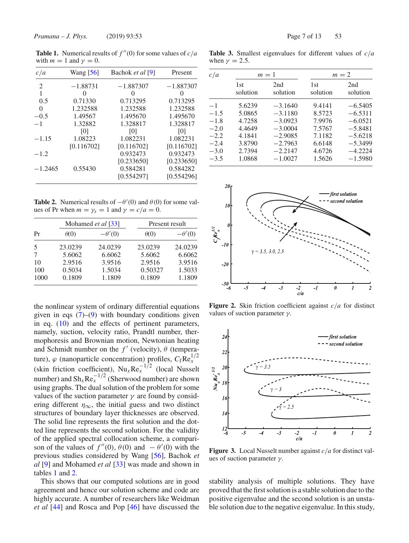**Table 1.** Numerical results of  $f''(0)$  for some values of  $c/a$ with  $m = 1$  and  $\gamma = 0$ .

| c/a       | Wang $[56]$ | Bachok et al [9] | Present     |
|-----------|-------------|------------------|-------------|
| 2         | $-1.88731$  | $-1.887307$      | $-1.887307$ |
| 1         | 0           | $\left( \right)$ |             |
| 0.5       | 0.71330     | 0.713295         | 0.713295    |
| 0         | 1.232588    | 1.232588         | 1.232588    |
| $-0.5$    | 1.49567     | 1.495670         | 1.495670    |
| -1        | 1.32882     | 1.328817         | 1.328817    |
|           | [0]         | [0]              | [0]         |
| $-1.15$   | 1.08223     | 1.082231         | 1.082231    |
|           | [0.116702]  | [0.116702]       | [0.116702]  |
| $-1.2$    |             | 0.932473         | 0.932473    |
|           |             | [0.233650]       | [0.233650]  |
| $-1.2465$ | 0.55430     | 0.584281         | 0.584282    |
|           |             | [0.554297]       | [0.554296]  |

**Table 2.** Numerical results of  $-\theta'(0)$  and  $\theta(0)$  for some values of Pr when  $m = \gamma_s = 1$  and  $\gamma = c/a = 0$ .

|      | Mohamed et al [33] |               | Present result |               |
|------|--------------------|---------------|----------------|---------------|
| Pr   | $\theta(0)$        | $-\theta'(0)$ | $\theta(0)$    | $-\theta'(0)$ |
| 5    | 23.0239            | 24.0239       | 23.0239        | 24.0239       |
| 7    | 5.6062             | 6.6062        | 5.6062         | 6.6062        |
| 10   | 2.9516             | 3.9516        | 2.9516         | 3.9516        |
| 100  | 0.5034             | 1.5034        | 0.50327        | 1.5033        |
| 1000 | 0.1809             | 1.1809        | 0.1809         | 1.1809        |

the nonlinear system of ordinary differential equations given in eqs  $(7)$ – $(9)$  with boundary conditions given in eq.  $(10)$  and the effects of pertinent parameters, namely, suction, velocity ratio, Prandtl number, thermophoresis and Brownian motion, Newtonian heating and Schmidt number on the  $f'$  (velocity),  $\theta$  (temperature),  $\varphi$  (nanoparticle concentration) profiles,  $C_f \text{Re}_x^{1/2}$ (skin friction coefficient),  $Nu_x Re_x^{-1/2}$  (local Nusselt number) and  $\text{Sh}_x\text{Re}_x^{-1/2}$  *(Sherwood number)* are shown using graphs. The dual solution of the problem for some values of the suction parameter  $\gamma$  are found by considering different  $\eta_{\infty}$ , the initial guess and two distinct structures of boundary layer thicknesses are observed. The solid line represents the first solution and the dotted line represents the second solution. For the validity of the applied spectral collocation scheme, a comparison of the values of  $f''(0)$ ,  $\theta(0)$  and  $-\theta'(0)$  with the previous studies considered by Wang [56], Bachok *et al* [9] and Mohamed *et al* [33] was made and shown in tables 1 and 2.

This shows that our computed solutions are in good agreement and hence our solution scheme and code are highly accurate. A number of researchers like Weidman *et al* [44] and Rosca and Pop [46] have discussed the

**Table 3.** Smallest eigenvalues for different values of *c*/*a* when  $\nu = 2.5$ .

| c/a    | $m=1$           |                 | $m=2$           |                 |
|--------|-----------------|-----------------|-----------------|-----------------|
|        | 1st<br>solution | 2nd<br>solution | 1st<br>solution | 2nd<br>solution |
| $-1$   | 5.6239          | $-3.1640$       | 9.4141          | $-6.5405$       |
| $-1.5$ | 5.0865          | $-3.1180$       | 8.5723          | $-6.5311$       |
| $-1.8$ | 4.7258          | $-3.0923$       | 7.9976          | $-6.0521$       |
| $-2.0$ | 4.4649          | $-3.0004$       | 7.5767          | $-5.8481$       |
| $-2.2$ | 4.1841          | $-2.9085$       | 7.1182          | $-5.6218$       |
| $-2.4$ | 3.8790          | $-2.7963$       | 6.6148          | $-5.3499$       |
| $-3.0$ | 2.7394          | $-2.2147$       | 4.6726          | $-4.2224$       |
| $-3.5$ | 1.0868          | $-1.0027$       | 1.5626          | $-1.5980$       |



**Figure 2.** Skin friction coefficient against *c*/*a* for distinct values of suction parameter  $\gamma$ .



**Figure 3.** Local Nusselt number against *c*/*a* for distinct values of suction parameter  $γ$ .

stability analysis of multiple solutions. They have proved that the first solution is a stable solution due to the positive eigenvalue and the second solution is an unstable solution due to the negative eigenvalue. In this study,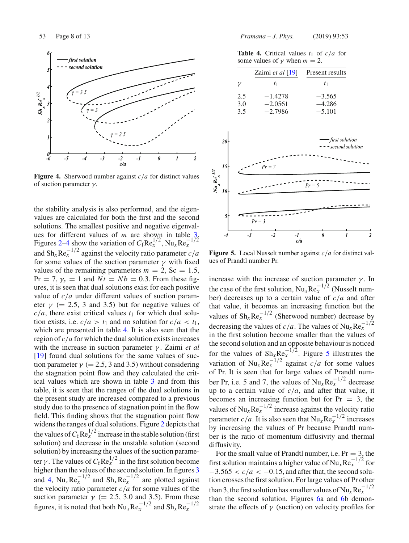

**Figure 4.** Sherwood number against *c*/*a* for distinct values of suction parameter  $\gamma$ .

the stability analysis is also performed, and the eigenvalues are calculated for both the first and the second solutions. The smallest positive and negative eigenvalues for different values of  $m$  are shown in table  $\frac{3}{2}$ . Figures 2–4 show the variation of  $C_f \text{Re}_x^{1/2}$ ,  $\text{Nu}_x \text{Re}_x^{-1/2}$ and  $\text{Sh}_x \text{Re}_x^{-1/2}$  against the velocity ratio parameter *c*/*a* for some values of the suction parameter  $\gamma$  with fixed values of the remaining parameters  $m = 2$ , Sc = 1.5,  $Pr = 7$ ,  $\gamma_s = 1$  and  $Nt = Nb = 0.3$ . From these figures, it is seen that dual solutions exist for each positive value of *c*/*a* under different values of suction parameter  $\gamma$  (= 2.5, 3 and 3.5) but for negative values of  $c/a$ , there exist critical values  $t_1$  for which dual solution exists, i.e.  $c/a > t_1$  and no solution for  $c/a < t_1$ , which are presented in table 4. It is also seen that the region of *c*/*a* for which the dual solution exists increases with the increase in suction parameter γ . Zaimi *et al* [19] found dual solutions for the same values of suction parameter  $\gamma$  (= 2.5, 3 and 3.5) without considering the stagnation point flow and they calculated the critical values which are shown in table 3 and from this table, it is seen that the ranges of the dual solutions in the present study are increased compared to a previous study due to the presence of stagnation point in the flow field. This finding shows that the stagnation point flow widens the ranges of dual solutions. Figure 2 depicts that the values of  $C_f \text{Re}^{1/2}_x$  increase in the stable solution (first solution) and decrease in the unstable solution (second solution) by increasing the values of the suction parameter  $\gamma$ . The values of  $C_f \text{Re}_x^{1/2}$  in the first solution become higher than the values of the second solution. In figures 3 and 4,  $Nu_x Re_x^{-1/2}$  and  $Sh_x Re_x^{-1/2}$  are plotted against the velocity ratio parameter  $c/a$  for some values of the suction parameter  $\gamma$  (= 2.5, 3.0 and 3.5). From these figures, it is noted that both  $Nu_x Re_x^{-1/2}$  and  $Sh_x Re_x^{-1/2}$ 

**Table 4.** Critical values  $t_1$  of  $c/a$  for some values of  $\gamma$  when  $m = 2$ .

|     | Zaimi et al [19] | Present results |
|-----|------------------|-----------------|
| ν   | $\bar{t}_1$      | $\iota_1$       |
| 2.5 | $-1.4278$        | $-3.565$        |
| 3.0 | $-2.0561$        | $-4.286$        |
| 3.5 | $-2.7986$        | $-5.101$        |



**Figure 5.** Local Nusselt number against *c*/*a* for distinct values of Prandtl number Pr.

increase with the increase of suction parameter  $\gamma$ . In the case of the first solution,  $Nu_x Re_x^{-1/2}$  *(Nusselt num*ber) decreases up to a certain value of *c*/*a* and after that value, it becomes an increasing function but the values of  $\text{Sh}_{x} \text{Re}_{x}^{-1/2}$  *(Sherwood number)* decrease by decreasing the values of *c*/*a*. The values of  $Nu_x Re_x^{-1/2}$ in the first solution become smaller than the values of the second solution and an opposite behaviour is noticed for the values of  $\text{Sh}_x \text{Re}_x^{-1/2}$ . Figure 5 illustrates the variation of  $Nu_x Re_x^{-1/2}$  against *c/a* for some values of Pr. It is seen that for large values of Prandtl number Pr, i.e. 5 and 7, the values of  $Nu_x Re_x^{-1/2}$  decrease up to a certain value of *c*/*a*, and after that value, it becomes an increasing function but for  $Pr = 3$ , the values of  $Nu_x Re_x^{-1/2}$  increase against the velocity ratio parameter *c*/*a*. It is also seen that  $Nu_x Re_x^{-1/2}$  increases by increasing the values of Pr because Prandtl number is the ratio of momentum diffusivity and thermal diffusivity.

For the small value of Prandtl number, i.e.  $Pr = 3$ , the first solution maintains a higher value of  $Nu<sub>x</sub>Re<sub>x</sub><sup>-1/2</sup>$  for  $-3.565 < c/a < -0.15$ , and after that, the second solution crosses the first solution. For large values of Pr other than 3, the first solution has smaller values of  $Nu_x Re_x^{-1/2}$ than the second solution. Figures 6a and 6b demonstrate the effects of  $\gamma$  (suction) on velocity profiles for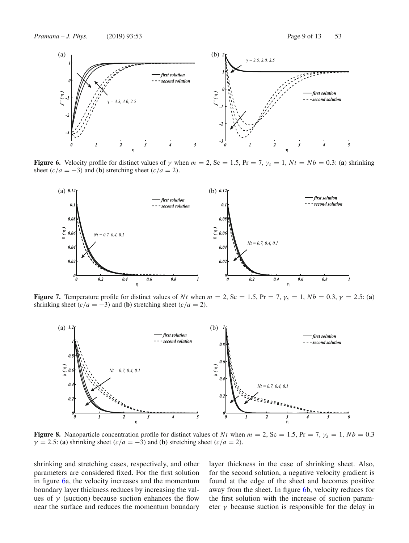

**Figure 6.** Velocity profile for distinct values of  $\gamma$  when  $m = 2$ , Sc = 1.5, Pr = 7,  $\gamma_s = 1$ ,  $Nt = Nb = 0.3$ : (a) shrinking sheet  $(c/a = -3)$  and (**b**) stretching sheet  $(c/a = 2)$ .



**Figure 7.** Temperature profile for distinct values of *Nt* when  $m = 2$ , Sc = 1.5, Pr = 7,  $\gamma_s = 1$ , Nb = 0.3,  $\gamma = 2.5$ : (a) shrinking sheet ( $c/a = -3$ ) and (**b**) stretching sheet ( $c/a = 2$ ).



**Figure 8.** Nanoparticle concentration profile for distinct values of *Nt* when  $m = 2$ , Sc = 1.5, Pr = 7,  $\gamma_s = 1$ , Nb = 0.3  $\gamma = 2.5$ : (a) shrinking sheet (*c*/*a* = -3) and (**b**) stretching sheet (*c*/*a* = 2).

shrinking and stretching cases, respectively, and other parameters are considered fixed. For the first solution in figure 6a, the velocity increases and the momentum boundary layer thickness reduces by increasing the values of  $\gamma$  (suction) because suction enhances the flow near the surface and reduces the momentum boundary layer thickness in the case of shrinking sheet. Also, for the second solution, a negative velocity gradient is found at the edge of the sheet and becomes positive away from the sheet. In figure 6b, velocity reduces for the first solution with the increase of suction parameter  $\gamma$  because suction is responsible for the delay in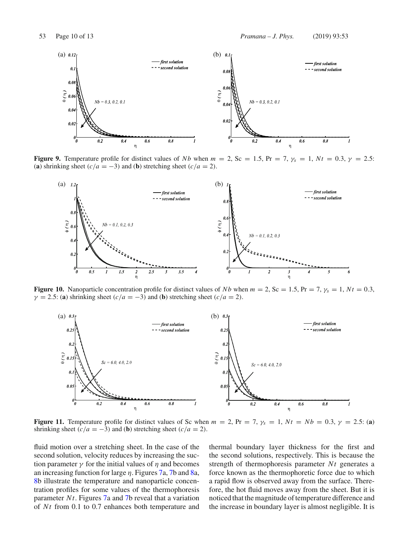

**Figure 9.** Temperature profile for distinct values of *Nb* when  $m = 2$ , Sc = 1.5, Pr = 7,  $\gamma_s = 1$ , *Nt* = 0.3,  $\gamma = 2.5$ : (a) shrinking sheet  $(c/a = -3)$  and (b) stretching sheet  $(c/a = 2)$ .



**Figure 10.** Nanoparticle concentration profile for distinct values of *Nb* when  $m = 2$ , Sc = 1.5, Pr = 7,  $\gamma_s = 1$ , Nt = 0.3,  $\gamma = 2.5$ : (a) shrinking sheet (*c*/*a* = -3) and (**b**) stretching sheet (*c*/*a* = 2).



**Figure 11.** Temperature profile for distinct values of Sc when  $m = 2$ , Pr = 7,  $\gamma_s = 1$ ,  $Nt = Nb = 0.3$ ,  $\gamma = 2.5$ : (a) shrinking sheet ( $c/a = -3$ ) and (**b**) stretching sheet ( $c/a = 2$ ).

fluid motion over a stretching sheet. In the case of the second solution, velocity reduces by increasing the suction parameter  $\gamma$  for the initial values of  $\eta$  and becomes an increasing function for large  $\eta$ . Figures 7a, 7b and 8a, 8b illustrate the temperature and nanoparticle concentration profiles for some values of the thermophoresis parameter *Nt*. Figures 7a and 7b reveal that a variation of *Nt* from 0.1 to 0.7 enhances both temperature and thermal boundary layer thickness for the first and the second solutions, respectively. This is because the strength of thermophoresis parameter *Nt* generates a force known as the thermophoretic force due to which a rapid flow is observed away from the surface. Therefore, the hot fluid moves away from the sheet. But it is noticed that the magnitude of temperature difference and the increase in boundary layer is almost negligible. It is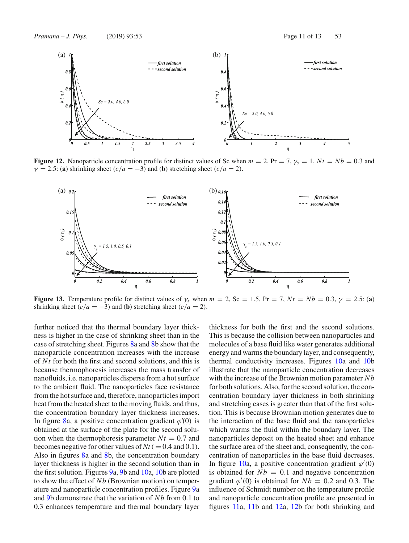

**Figure 12.** Nanoparticle concentration profile for distinct values of Sc when  $m = 2$ ,  $Pr = 7$ ,  $\gamma_s = 1$ ,  $Nt = Nb = 0.3$  and  $\gamma = 2.5$ : (a) shrinking sheet (*c*/*a* = -3) and (**b**) stretching sheet (*c*/*a* = 2).



**Figure 13.** Temperature profile for distinct values of  $\gamma_s$  when  $m = 2$ , Sc = 1.5, Pr = 7, Nt = Nb = 0.3,  $\gamma = 2.5$ : (a) shrinking sheet  $\left(\frac{c}{a} = -3\right)$  and (**b**) stretching sheet  $\left(\frac{c}{a} = 2\right)$ .

further noticed that the thermal boundary layer thickness is higher in the case of shrinking sheet than in the case of stretching sheet. Figures 8a and 8b show that the nanoparticle concentration increases with the increase of *Nt* for both the first and second solutions, and this is because thermophoresis increases the mass transfer of nanofluids, i.e. nanoparticles disperse from a hot surface to the ambient fluid. The nanoparticles face resistance from the hot surface and, therefore, nanoparticles import heat from the heated sheet to the moving fluids, and thus, the concentration boundary layer thickness increases. In figure 8a, a positive concentration gradient  $\varphi'(0)$  is obtained at the surface of the plate for the second solution when the thermophoresis parameter  $Nt = 0.7$  and becomes negative for other values of  $Nt$  ( $= 0.4$  and 0.1). Also in figures 8a and 8b, the concentration boundary layer thickness is higher in the second solution than in the first solution. Figures 9a, 9b and 10a, 10b are plotted to show the effect of *Nb* (Brownian motion) on temperature and nanoparticle concentration profiles. Figure 9a and 9b demonstrate that the variation of *N b* from 0.1 to 0.3 enhances temperature and thermal boundary layer thickness for both the first and the second solutions. This is because the collision between nanoparticles and molecules of a base fluid like water generates additional energy and warms the boundary layer, and consequently, thermal conductivity increases. Figures 10a and 10b illustrate that the nanoparticle concentration decreases with the increase of the Brownian motion parameter *N b* for both solutions. Also, for the second solution, the concentration boundary layer thickness in both shrinking and stretching cases is greater than that of the first solution. This is because Brownian motion generates due to the interaction of the base fluid and the nanoparticles which warms the fluid within the boundary layer. The nanoparticles deposit on the heated sheet and enhance the surface area of the sheet and, consequently, the concentration of nanoparticles in the base fluid decreases. In figure 10a, a positive concentration gradient  $\varphi'(0)$ is obtained for  $Nb = 0.1$  and negative concentration gradient  $\varphi'(0)$  is obtained for  $Nb = 0.2$  and 0.3. The influence of Schmidt number on the temperature profile and nanoparticle concentration profile are presented in figures 11a, 11b and 12a, 12b for both shrinking and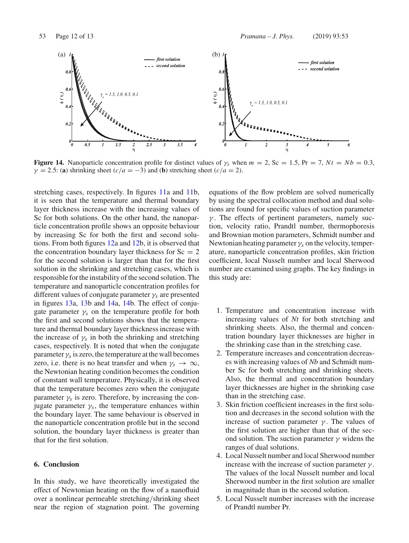

**Figure 14.** Nanoparticle concentration profile for distinct values of  $\gamma_s$  when  $m = 2$ , Sc = 1.5, Pr = 7, Nt = Nb = 0.3,  $\gamma = 2.5$ : (a) shrinking sheet (*c*/*a* = -3) and (**b**) stretching sheet (*c*/*a* = 2).

stretching cases, respectively. In figures 11a and 11b, it is seen that the temperature and thermal boundary layer thickness increase with the increasing values of Sc for both solutions. On the other hand, the nanoparticle concentration profile shows an opposite behaviour by increasing Sc for both the first and second solutions. From both figures 12a and 12b, it is observed that the concentration boundary layer thickness for  $Sc = 2$ for the second solution is larger than that for the first solution in the shrinking and stretching cases, which is responsible for the instability of the second solution. The temperature and nanoparticle concentration profiles for different values of conjugate parameter γ*<sup>s</sup>* are presented in figures 13a, 13b and 14a, 14b. The effect of conjugate parameter  $\gamma_s$  on the temperature profile for both the first and second solutions shows that the temperature and thermal boundary layer thickness increase with the increase of  $\gamma_s$  in both the shrinking and stretching cases, respectively. It is noted that when the conjugate parameter  $\gamma_s$  is zero, the temperature at the wall becomes zero, i.e. there is no heat transfer and when  $\gamma_s \to \infty$ , the Newtonian heating condition becomes the condition of constant wall temperature. Physically, it is observed that the temperature becomes zero when the conjugate parameter  $\gamma_s$  is zero. Therefore, by increasing the conjugate parameter  $\gamma_s$ , the temperature enhances within the boundary layer. The same behaviour is observed in the nanoparticle concentration profile but in the second solution, the boundary layer thickness is greater than that for the first solution.

# **6. Conclusion**

In this study, we have theoretically investigated the effect of Newtonian heating on the flow of a nanofluid over a nonlinear permeable stretching/shrinking sheet near the region of stagnation point. The governing equations of the flow problem are solved numerically by using the spectral collocation method and dual solutions are found for specific values of suction parameter  $\gamma$ . The effects of pertinent parameters, namely suction, velocity ratio, Prandtl number, thermophoresis and Brownian motion parameters, Schmidt number and Newtonian heating parameter  $\gamma_s$  on the velocity, temperature, nanoparticle concentration profiles, skin friction coefficient, local Nusselt number and local Sherwood number are examined using graphs. The key findings in this study are:

- 1. Temperature and concentration increase with increasing values of *Nt* for both stretching and shrinking sheets. Also, the thermal and concentration boundary layer thicknesses are higher in the shrinking case than in the stretching case.
- 2. Temperature increases and concentration decreases with increasing values of *Nb* and Schmidt number Sc for both stretching and shrinking sheets. Also, the thermal and concentration boundary layer thicknesses are higher in the shrinking case than in the stretching case.
- 3. Skin friction coefficient increases in the first solution and decreases in the second solution with the increase of suction parameter  $\gamma$ . The values of the first solution are higher than that of the second solution. The suction parameter  $\gamma$  widens the ranges of dual solutions.
- 4. Local Nusselt number and local Sherwood number increase with the increase of suction parameter  $\gamma$ . The values of the local Nusselt number and local Sherwood number in the first solution are smaller in magnitude than in the second solution.
- 5. Local Nusselt number increases with the increase of Prandtl number Pr.